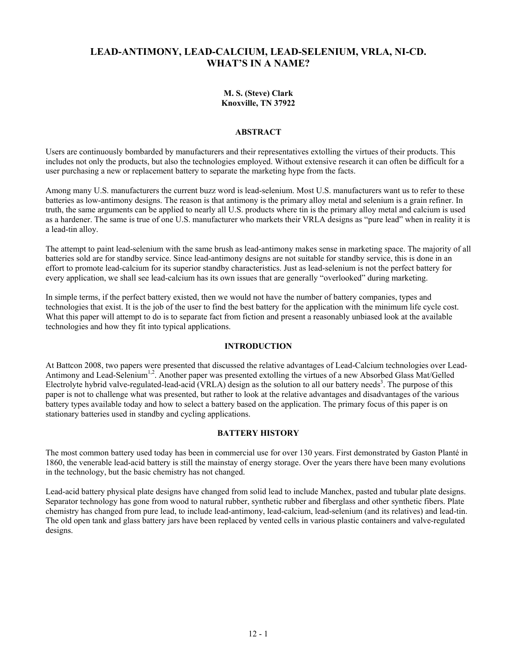# **LEAD-ANTIMONY, LEAD-CALCIUM, LEAD-SELENIUM, VRLA, NI-CD. WHAT'S IN A NAME?**

#### **M. S. (Steve) Clark Knoxville, TN 37922**

## **ABSTRACT**

Users are continuously bombarded by manufacturers and their representatives extolling the virtues of their products. This includes not only the products, but also the technologies employed. Without extensive research it can often be difficult for a user purchasing a new or replacement battery to separate the marketing hype from the facts.

Among many U.S. manufacturers the current buzz word is lead-selenium. Most U.S. manufacturers want us to refer to these batteries as low-antimony designs. The reason is that antimony is the primary alloy metal and selenium is a grain refiner. In truth, the same arguments can be applied to nearly all U.S. products where tin is the primary alloy metal and calcium is used as a hardener. The same is true of one U.S. manufacturer who markets their VRLA designs as "pure lead" when in reality it is a lead-tin alloy.

The attempt to paint lead-selenium with the same brush as lead-antimony makes sense in marketing space. The majority of all batteries sold are for standby service. Since lead-antimony designs are not suitable for standby service, this is done in an effort to promote lead-calcium for its superior standby characteristics. Just as lead-selenium is not the perfect battery for every application, we shall see lead-calcium has its own issues that are generally "overlooked" during marketing.

In simple terms, if the perfect battery existed, then we would not have the number of battery companies, types and technologies that exist. It is the job of the user to find the best battery for the application with the minimum life cycle cost. What this paper will attempt to do is to separate fact from fiction and present a reasonably unbiased look at the available technologies and how they fit into typical applications.

## **INTRODUCTION**

At Battcon 2008, two papers were presented that discussed the relative advantages of Lead-Calcium technologies over Lead-Antimony and Lead-Selenium<sup>1,2</sup>. Another paper was presented extolling the virtues of a new Absorbed Glass Mat/Gelled Electrolyte hybrid valve-regulated-lead-acid (VRLA) design as the solution to all our battery needs<sup>3</sup>. The purpose of this paper is not to challenge what was presented, but rather to look at the relative advantages and disadvantages of the various battery types available today and how to select a battery based on the application. The primary focus of this paper is on stationary batteries used in standby and cycling applications.

## **BATTERY HISTORY**

The most common battery used today has been in commercial use for over 130 years. First demonstrated by Gaston Planté in 1860, the venerable lead-acid battery is still the mainstay of energy storage. Over the years there have been many evolutions in the technology, but the basic chemistry has not changed.

Lead-acid battery physical plate designs have changed from solid lead to include Manchex, pasted and tubular plate designs. Separator technology has gone from wood to natural rubber, synthetic rubber and fiberglass and other synthetic fibers. Plate chemistry has changed from pure lead, to include lead-antimony, lead-calcium, lead-selenium (and its relatives) and lead-tin. The old open tank and glass battery jars have been replaced by vented cells in various plastic containers and valve-regulated designs.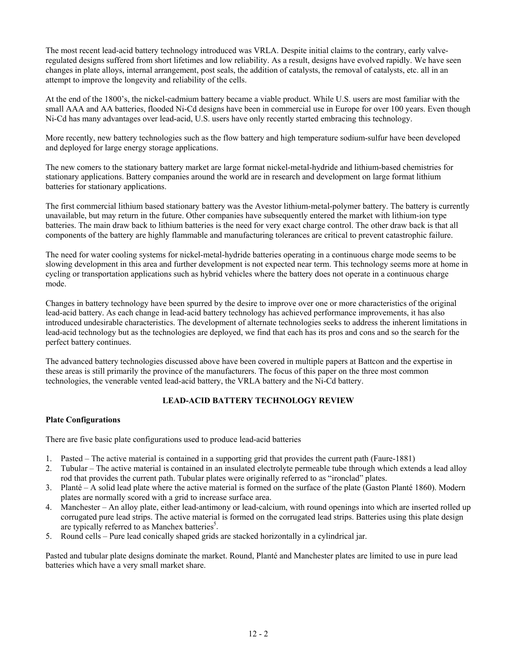The most recent lead-acid battery technology introduced was VRLA. Despite initial claims to the contrary, early valveregulated designs suffered from short lifetimes and low reliability. As a result, designs have evolved rapidly. We have seen changes in plate alloys, internal arrangement, post seals, the addition of catalysts, the removal of catalysts, etc. all in an attempt to improve the longevity and reliability of the cells.

At the end of the 1800's, the nickel-cadmium battery became a viable product. While U.S. users are most familiar with the small AAA and AA batteries, flooded Ni-Cd designs have been in commercial use in Europe for over 100 years. Even though Ni-Cd has many advantages over lead-acid, U.S. users have only recently started embracing this technology.

More recently, new battery technologies such as the flow battery and high temperature sodium-sulfur have been developed and deployed for large energy storage applications.

The new comers to the stationary battery market are large format nickel-metal-hydride and lithium-based chemistries for stationary applications. Battery companies around the world are in research and development on large format lithium batteries for stationary applications.

The first commercial lithium based stationary battery was the Avestor lithium-metal-polymer battery. The battery is currently unavailable, but may return in the future. Other companies have subsequently entered the market with lithium-ion type batteries. The main draw back to lithium batteries is the need for very exact charge control. The other draw back is that all components of the battery are highly flammable and manufacturing tolerances are critical to prevent catastrophic failure.

The need for water cooling systems for nickel-metal-hydride batteries operating in a continuous charge mode seems to be slowing development in this area and further development is not expected near term. This technology seems more at home in cycling or transportation applications such as hybrid vehicles where the battery does not operate in a continuous charge mode.

Changes in battery technology have been spurred by the desire to improve over one or more characteristics of the original lead-acid battery. As each change in lead-acid battery technology has achieved performance improvements, it has also introduced undesirable characteristics. The development of alternate technologies seeks to address the inherent limitations in lead-acid technology but as the technologies are deployed, we find that each has its pros and cons and so the search for the perfect battery continues.

The advanced battery technologies discussed above have been covered in multiple papers at Battcon and the expertise in these areas is still primarily the province of the manufacturers. The focus of this paper on the three most common technologies, the venerable vented lead-acid battery, the VRLA battery and the Ni-Cd battery.

## **LEAD-ACID BATTERY TECHNOLOGY REVIEW**

## **Plate Configurations**

There are five basic plate configurations used to produce lead-acid batteries

- 1. Pasted The active material is contained in a supporting grid that provides the current path (Faure-1881)
- 2. Tubular The active material is contained in an insulated electrolyte permeable tube through which extends a lead alloy rod that provides the current path. Tubular plates were originally referred to as "ironclad" plates.
- 3. Planté A solid lead plate where the active material is formed on the surface of the plate (Gaston Planté 1860). Modern plates are normally scored with a grid to increase surface area.
- 4. Manchester An alloy plate, either lead-antimony or lead-calcium, with round openings into which are inserted rolled up corrugated pure lead strips. The active material is formed on the corrugated lead strips. Batteries using this plate design are typically referred to as Manchex batteries<sup>5</sup>.
- 5. Round cells Pure lead conically shaped grids are stacked horizontally in a cylindrical jar.

Pasted and tubular plate designs dominate the market. Round, Planté and Manchester plates are limited to use in pure lead batteries which have a very small market share.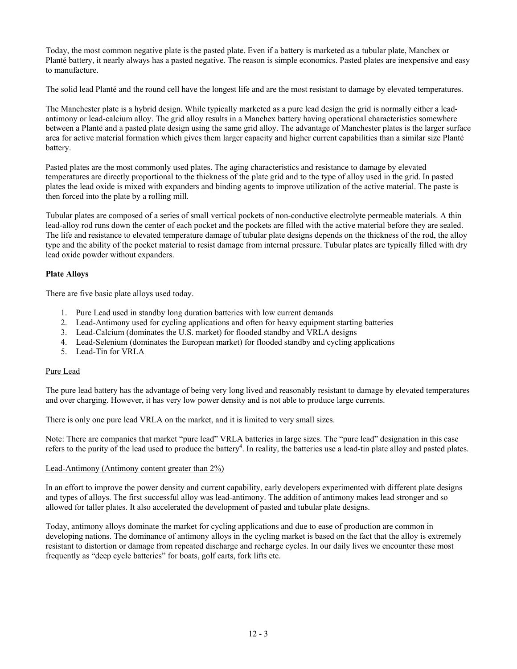Today, the most common negative plate is the pasted plate. Even if a battery is marketed as a tubular plate, Manchex or Planté battery, it nearly always has a pasted negative. The reason is simple economics. Pasted plates are inexpensive and easy to manufacture.

The solid lead Planté and the round cell have the longest life and are the most resistant to damage by elevated temperatures.

The Manchester plate is a hybrid design. While typically marketed as a pure lead design the grid is normally either a leadantimony or lead-calcium alloy. The grid alloy results in a Manchex battery having operational characteristics somewhere between a Planté and a pasted plate design using the same grid alloy. The advantage of Manchester plates is the larger surface area for active material formation which gives them larger capacity and higher current capabilities than a similar size Planté battery.

Pasted plates are the most commonly used plates. The aging characteristics and resistance to damage by elevated temperatures are directly proportional to the thickness of the plate grid and to the type of alloy used in the grid. In pasted plates the lead oxide is mixed with expanders and binding agents to improve utilization of the active material. The paste is then forced into the plate by a rolling mill.

Tubular plates are composed of a series of small vertical pockets of non-conductive electrolyte permeable materials. A thin lead-alloy rod runs down the center of each pocket and the pockets are filled with the active material before they are sealed. The life and resistance to elevated temperature damage of tubular plate designs depends on the thickness of the rod, the alloy type and the ability of the pocket material to resist damage from internal pressure. Tubular plates are typically filled with dry lead oxide powder without expanders.

## **Plate Alloys**

There are five basic plate alloys used today.

- 1. Pure Lead used in standby long duration batteries with low current demands
- 2. Lead-Antimony used for cycling applications and often for heavy equipment starting batteries
- 3. Lead-Calcium (dominates the U.S. market) for flooded standby and VRLA designs
- 4. Lead-Selenium (dominates the European market) for flooded standby and cycling applications
- 5. Lead-Tin for VRLA

## Pure Lead

The pure lead battery has the advantage of being very long lived and reasonably resistant to damage by elevated temperatures and over charging. However, it has very low power density and is not able to produce large currents.

There is only one pure lead VRLA on the market, and it is limited to very small sizes.

Note: There are companies that market "pure lead" VRLA batteries in large sizes. The "pure lead" designation in this case refers to the purity of the lead used to produce the battery<sup>4</sup>. In reality, the batteries use a lead-tin plate alloy and pasted plates.

#### Lead-Antimony (Antimony content greater than 2%)

In an effort to improve the power density and current capability, early developers experimented with different plate designs and types of alloys. The first successful alloy was lead-antimony. The addition of antimony makes lead stronger and so allowed for taller plates. It also accelerated the development of pasted and tubular plate designs.

Today, antimony alloys dominate the market for cycling applications and due to ease of production are common in developing nations. The dominance of antimony alloys in the cycling market is based on the fact that the alloy is extremely resistant to distortion or damage from repeated discharge and recharge cycles. In our daily lives we encounter these most frequently as "deep cycle batteries" for boats, golf carts, fork lifts etc.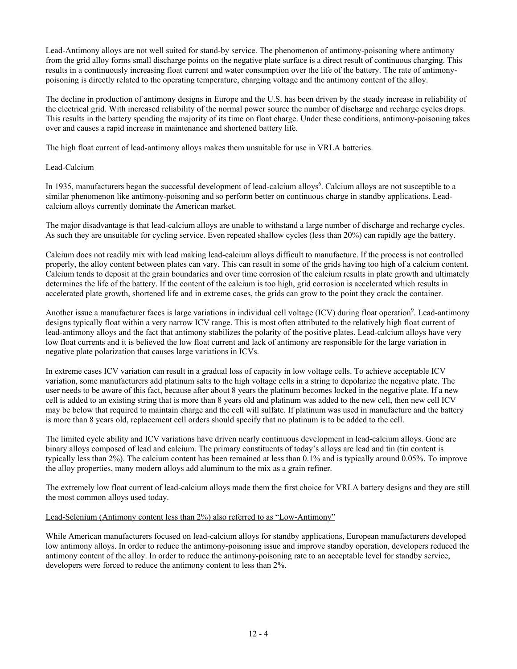Lead-Antimony alloys are not well suited for stand-by service. The phenomenon of antimony-poisoning where antimony from the grid alloy forms small discharge points on the negative plate surface is a direct result of continuous charging. This results in a continuously increasing float current and water consumption over the life of the battery. The rate of antimonypoisoning is directly related to the operating temperature, charging voltage and the antimony content of the alloy.

The decline in production of antimony designs in Europe and the U.S. has been driven by the steady increase in reliability of the electrical grid. With increased reliability of the normal power source the number of discharge and recharge cycles drops. This results in the battery spending the majority of its time on float charge. Under these conditions, antimony-poisoning takes over and causes a rapid increase in maintenance and shortened battery life.

The high float current of lead-antimony alloys makes them unsuitable for use in VRLA batteries.

## Lead-Calcium

In 1935, manufacturers began the successful development of lead-calcium alloys<sup>6</sup>. Calcium alloys are not susceptible to a similar phenomenon like antimony-poisoning and so perform better on continuous charge in standby applications. Leadcalcium alloys currently dominate the American market.

The major disadvantage is that lead-calcium alloys are unable to withstand a large number of discharge and recharge cycles. As such they are unsuitable for cycling service. Even repeated shallow cycles (less than 20%) can rapidly age the battery.

Calcium does not readily mix with lead making lead-calcium alloys difficult to manufacture. If the process is not controlled properly, the alloy content between plates can vary. This can result in some of the grids having too high of a calcium content. Calcium tends to deposit at the grain boundaries and over time corrosion of the calcium results in plate growth and ultimately determines the life of the battery. If the content of the calcium is too high, grid corrosion is accelerated which results in accelerated plate growth, shortened life and in extreme cases, the grids can grow to the point they crack the container.

Another issue a manufacturer faces is large variations in individual cell voltage (ICV) during float operation<sup>9</sup>. Lead-antimony designs typically float within a very narrow ICV range. This is most often attributed to the relatively high float current of lead-antimony alloys and the fact that antimony stabilizes the polarity of the positive plates. Lead-calcium alloys have very low float currents and it is believed the low float current and lack of antimony are responsible for the large variation in negative plate polarization that causes large variations in ICVs.

In extreme cases ICV variation can result in a gradual loss of capacity in low voltage cells. To achieve acceptable ICV variation, some manufacturers add platinum salts to the high voltage cells in a string to depolarize the negative plate. The user needs to be aware of this fact, because after about 8 years the platinum becomes locked in the negative plate. If a new cell is added to an existing string that is more than 8 years old and platinum was added to the new cell, then new cell ICV may be below that required to maintain charge and the cell will sulfate. If platinum was used in manufacture and the battery is more than 8 years old, replacement cell orders should specify that no platinum is to be added to the cell.

The limited cycle ability and ICV variations have driven nearly continuous development in lead-calcium alloys. Gone are binary alloys composed of lead and calcium. The primary constituents of today's alloys are lead and tin (tin content is typically less than 2%). The calcium content has been remained at less than 0.1% and is typically around 0.05%. To improve the alloy properties, many modern alloys add aluminum to the mix as a grain refiner.

The extremely low float current of lead-calcium alloys made them the first choice for VRLA battery designs and they are still the most common alloys used today.

## Lead-Selenium (Antimony content less than 2%) also referred to as "Low-Antimony"

While American manufacturers focused on lead-calcium alloys for standby applications, European manufacturers developed low antimony alloys. In order to reduce the antimony-poisoning issue and improve standby operation, developers reduced the antimony content of the alloy. In order to reduce the antimony-poisoning rate to an acceptable level for standby service, developers were forced to reduce the antimony content to less than 2%.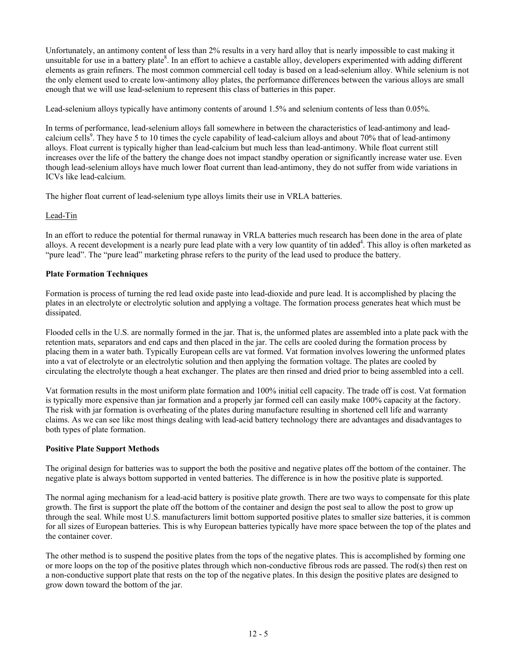Unfortunately, an antimony content of less than 2% results in a very hard alloy that is nearly impossible to cast making it unsuitable for use in a battery plate<sup>8</sup>. In an effort to achieve a castable alloy, developers experimented with adding different elements as grain refiners. The most common commercial cell today is based on a lead-selenium alloy. While selenium is not the only element used to create low-antimony alloy plates, the performance differences between the various alloys are small enough that we will use lead-selenium to represent this class of batteries in this paper.

Lead-selenium alloys typically have antimony contents of around 1.5% and selenium contents of less than 0.05%.

In terms of performance, lead-selenium alloys fall somewhere in between the characteristics of lead-antimony and leadcalcium cells<sup>9</sup>. They have 5 to 10 times the cycle capability of lead-calcium alloys and about 70% that of lead-antimony alloys. Float current is typically higher than lead-calcium but much less than lead-antimony. While float current still increases over the life of the battery the change does not impact standby operation or significantly increase water use. Even though lead-selenium alloys have much lower float current than lead-antimony, they do not suffer from wide variations in ICVs like lead-calcium.

The higher float current of lead-selenium type alloys limits their use in VRLA batteries.

#### Lead-Tin

In an effort to reduce the potential for thermal runaway in VRLA batteries much research has been done in the area of plate alloys. A recent development is a nearly pure lead plate with a very low quantity of tin added<sup>4</sup>. This alloy is often marketed as "pure lead". The "pure lead" marketing phrase refers to the purity of the lead used to produce the battery.

#### **Plate Formation Techniques**

Formation is process of turning the red lead oxide paste into lead-dioxide and pure lead. It is accomplished by placing the plates in an electrolyte or electrolytic solution and applying a voltage. The formation process generates heat which must be dissipated.

Flooded cells in the U.S. are normally formed in the jar. That is, the unformed plates are assembled into a plate pack with the retention mats, separators and end caps and then placed in the jar. The cells are cooled during the formation process by placing them in a water bath. Typically European cells are vat formed. Vat formation involves lowering the unformed plates into a vat of electrolyte or an electrolytic solution and then applying the formation voltage. The plates are cooled by circulating the electrolyte though a heat exchanger. The plates are then rinsed and dried prior to being assembled into a cell.

Vat formation results in the most uniform plate formation and 100% initial cell capacity. The trade off is cost. Vat formation is typically more expensive than jar formation and a properly jar formed cell can easily make 100% capacity at the factory. The risk with jar formation is overheating of the plates during manufacture resulting in shortened cell life and warranty claims. As we can see like most things dealing with lead-acid battery technology there are advantages and disadvantages to both types of plate formation.

#### **Positive Plate Support Methods**

The original design for batteries was to support the both the positive and negative plates off the bottom of the container. The negative plate is always bottom supported in vented batteries. The difference is in how the positive plate is supported.

The normal aging mechanism for a lead-acid battery is positive plate growth. There are two ways to compensate for this plate growth. The first is support the plate off the bottom of the container and design the post seal to allow the post to grow up through the seal. While most U.S. manufacturers limit bottom supported positive plates to smaller size batteries, it is common for all sizes of European batteries. This is why European batteries typically have more space between the top of the plates and the container cover.

The other method is to suspend the positive plates from the tops of the negative plates. This is accomplished by forming one or more loops on the top of the positive plates through which non-conductive fibrous rods are passed. The rod(s) then rest on a non-conductive support plate that rests on the top of the negative plates. In this design the positive plates are designed to grow down toward the bottom of the jar.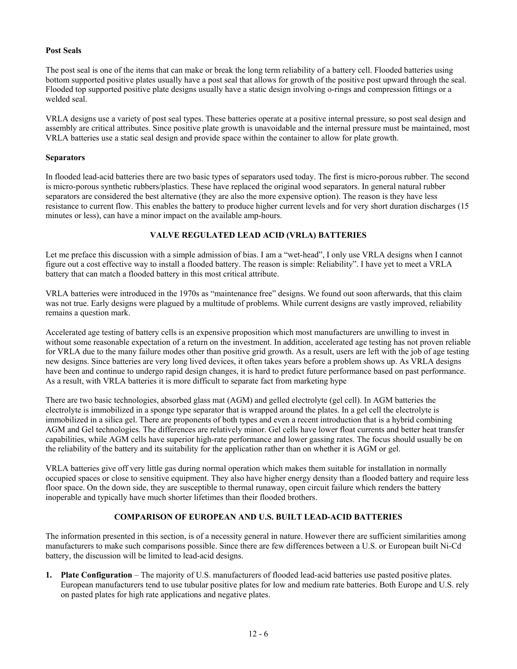## **Post Seals**

The post seal is one of the items that can make or break the long term reliability of a battery cell. Flooded batteries using bottom supported positive plates usually have a post seal that allows for growth of the positive post upward through the seal. Flooded top supported positive plate designs usually have a static design involving o-rings and compression fittings or a welded seal.

VRLA designs use a variety of post seal types. These batteries operate at a positive internal pressure, so post seal design and assembly are critical attributes. Since positive plate growth is unavoidable and the internal pressure must be maintained, most VRLA batteries use a static seal design and provide space within the container to allow for plate growth.

#### **Separators**

In flooded lead-acid batteries there are two basic types of separators used today. The first is micro-porous rubber. The second is micro-porous synthetic rubbers/plastics. These have replaced the original wood separators. In general natural rubber separators are considered the best alternative (they are also the more expensive option). The reason is they have less resistance to current flow. This enables the battery to produce higher current levels and for very short duration discharges (15 minutes or less), can have a minor impact on the available amp-hours.

## **VALVE REGULATED LEAD ACID (VRLA) BATTERIES**

Let me preface this discussion with a simple admission of bias. I am a "wet-head", I only use VRLA designs when I cannot figure out a cost effective way to install a flooded battery. The reason is simple: Reliability". I have yet to meet a VRLA battery that can match a flooded battery in this most critical attribute.

VRLA batteries were introduced in the 1970s as "maintenance free" designs. We found out soon afterwards, that this claim was not true. Early designs were plagued by a multitude of problems. While current designs are vastly improved, reliability remains a question mark.

Accelerated age testing of battery cells is an expensive proposition which most manufacturers are unwilling to invest in without some reasonable expectation of a return on the investment. In addition, accelerated age testing has not proven reliable for VRLA due to the many failure modes other than positive grid growth. As a result, users are left with the job of age testing new designs. Since batteries are very long lived devices, it often takes years before a problem shows up. As VRLA designs have been and continue to undergo rapid design changes, it is hard to predict future performance based on past performance. As a result, with VRLA batteries it is more difficult to separate fact from marketing hype

There are two basic technologies, absorbed glass mat (AGM) and gelled electrolyte (gel cell). In AGM batteries the electrolyte is immobilized in a sponge type separator that is wrapped around the plates. In a gel cell the electrolyte is immobilized in a silica gel. There are proponents of both types and even a recent introduction that is a hybrid combining AGM and Gel technologies. The differences are relatively minor. Gel cells have lower float currents and better heat transfer capabilities, while AGM cells have superior high-rate performance and lower gassing rates. The focus should usually be on the reliability of the battery and its suitability for the application rather than on whether it is AGM or gel.

VRLA batteries give off very little gas during normal operation which makes them suitable for installation in normally occupied spaces or close to sensitive equipment. They also have higher energy density than a flooded battery and require less floor space. On the down side, they are susceptible to thermal runaway, open circuit failure which renders the battery inoperable and typically have much shorter lifetimes than their flooded brothers.

## **COMPARISON OF EUROPEAN AND U.S. BUILT LEAD-ACID BATTERIES**

The information presented in this section, is of a necessity general in nature. However there are sufficient similarities among manufacturers to make such comparisons possible. Since there are few differences between a U.S. or European built Ni-Cd battery, the discussion will be limited to lead-acid designs.

**1. Plate Configuration** – The majority of U.S. manufacturers of flooded lead-acid batteries use pasted positive plates. European manufacturers tend to use tubular positive plates for low and medium rate batteries. Both Europe and U.S. rely on pasted plates for high rate applications and negative plates.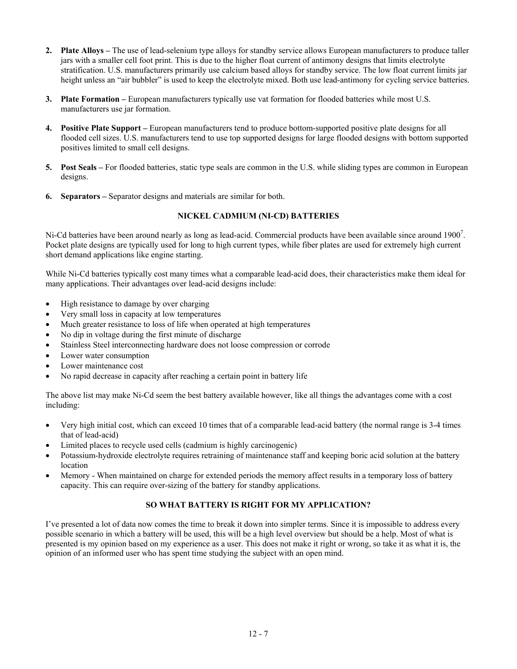- **2. Plate Alloys –** The use of lead-selenium type alloys for standby service allows European manufacturers to produce taller jars with a smaller cell foot print. This is due to the higher float current of antimony designs that limits electrolyte stratification. U.S. manufacturers primarily use calcium based alloys for standby service. The low float current limits jar height unless an "air bubbler" is used to keep the electrolyte mixed. Both use lead-antimony for cycling service batteries.
- **3. Plate Formation –** European manufacturers typically use vat formation for flooded batteries while most U.S. manufacturers use jar formation.
- **4. Positive Plate Support –** European manufacturers tend to produce bottom-supported positive plate designs for all flooded cell sizes. U.S. manufacturers tend to use top supported designs for large flooded designs with bottom supported positives limited to small cell designs.
- **5. Post Seals –** For flooded batteries, static type seals are common in the U.S. while sliding types are common in European designs.
- **6. Separators –** Separator designs and materials are similar for both.

## **NICKEL CADMIUM (NI-CD) BATTERIES**

Ni-Cd batteries have been around nearly as long as lead-acid. Commercial products have been available since around  $1900^7$ . Pocket plate designs are typically used for long to high current types, while fiber plates are used for extremely high current short demand applications like engine starting.

While Ni-Cd batteries typically cost many times what a comparable lead-acid does, their characteristics make them ideal for many applications. Their advantages over lead-acid designs include:

- High resistance to damage by over charging
- Very small loss in capacity at low temperatures
- Much greater resistance to loss of life when operated at high temperatures
- No dip in voltage during the first minute of discharge
- Stainless Steel interconnecting hardware does not loose compression or corrode
- Lower water consumption
- Lower maintenance cost
- No rapid decrease in capacity after reaching a certain point in battery life

The above list may make Ni-Cd seem the best battery available however, like all things the advantages come with a cost including:

- Very high initial cost, which can exceed 10 times that of a comparable lead-acid battery (the normal range is 3-4 times that of lead-acid)
- Limited places to recycle used cells (cadmium is highly carcinogenic)
- Potassium-hydroxide electrolyte requires retraining of maintenance staff and keeping boric acid solution at the battery location
- Memory When maintained on charge for extended periods the memory affect results in a temporary loss of battery capacity. This can require over-sizing of the battery for standby applications.

## **SO WHAT BATTERY IS RIGHT FOR MY APPLICATION?**

I've presented a lot of data now comes the time to break it down into simpler terms. Since it is impossible to address every possible scenario in which a battery will be used, this will be a high level overview but should be a help. Most of what is presented is my opinion based on my experience as a user. This does not make it right or wrong, so take it as what it is, the opinion of an informed user who has spent time studying the subject with an open mind.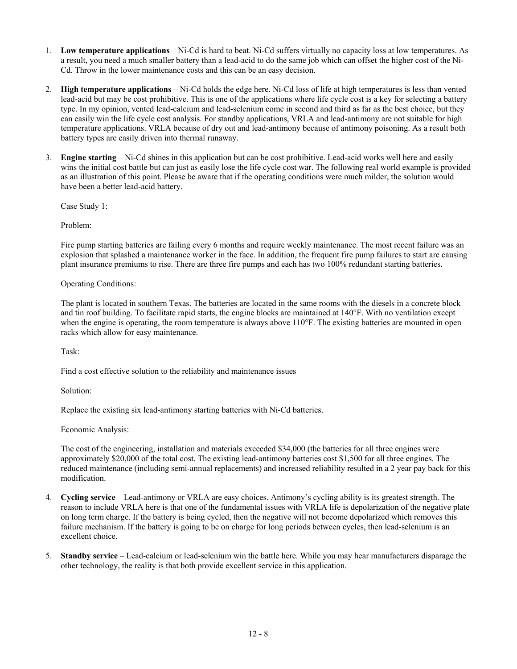- 1. **Low temperature applications** Ni-Cd is hard to beat. Ni-Cd suffers virtually no capacity loss at low temperatures. As a result, you need a much smaller battery than a lead-acid to do the same job which can offset the higher cost of the Ni-Cd. Throw in the lower maintenance costs and this can be an easy decision.
- 2. **High temperature applications** Ni-Cd holds the edge here. Ni-Cd loss of life at high temperatures is less than vented lead-acid but may be cost prohibitive. This is one of the applications where life cycle cost is a key for selecting a battery type. In my opinion, vented lead-calcium and lead-selenium come in second and third as far as the best choice, but they can easily win the life cycle cost analysis. For standby applications, VRLA and lead-antimony are not suitable for high temperature applications. VRLA because of dry out and lead-antimony because of antimony poisoning. As a result both battery types are easily driven into thermal runaway.
- 3. **Engine starting** Ni-Cd shines in this application but can be cost prohibitive. Lead-acid works well here and easily wins the initial cost battle but can just as easily lose the life cycle cost war. The following real world example is provided as an illustration of this point. Please be aware that if the operating conditions were much milder, the solution would have been a better lead-acid battery.

Case Study 1:

Problem:

Fire pump starting batteries are failing every 6 months and require weekly maintenance. The most recent failure was an explosion that splashed a maintenance worker in the face. In addition, the frequent fire pump failures to start are causing plant insurance premiums to rise. There are three fire pumps and each has two 100% redundant starting batteries.

Operating Conditions:

The plant is located in southern Texas. The batteries are located in the same rooms with the diesels in a concrete block and tin roof building. To facilitate rapid starts, the engine blocks are maintained at 140°F. With no ventilation except when the engine is operating, the room temperature is always above 110°F. The existing batteries are mounted in open racks which allow for easy maintenance.

Task:

Find a cost effective solution to the reliability and maintenance issues

Solution:

Replace the existing six lead-antimony starting batteries with Ni-Cd batteries.

Economic Analysis:

The cost of the engineering, installation and materials exceeded \$34,000 (the batteries for all three engines were approximately \$20,000 of the total cost. The existing lead-antimony batteries cost \$1,500 for all three engines. The reduced maintenance (including semi-annual replacements) and increased reliability resulted in a 2 year pay back for this modification.

- 4. **Cycling service** Lead-antimony or VRLA are easy choices. Antimony's cycling ability is its greatest strength. The reason to include VRLA here is that one of the fundamental issues with VRLA life is depolarization of the negative plate on long term charge. If the battery is being cycled, then the negative will not become depolarized which removes this failure mechanism. If the battery is going to be on charge for long periods between cycles, then lead-selenium is an excellent choice.
- 5. **Standby service** Lead-calcium or lead-selenium win the battle here. While you may hear manufacturers disparage the other technology, the reality is that both provide excellent service in this application.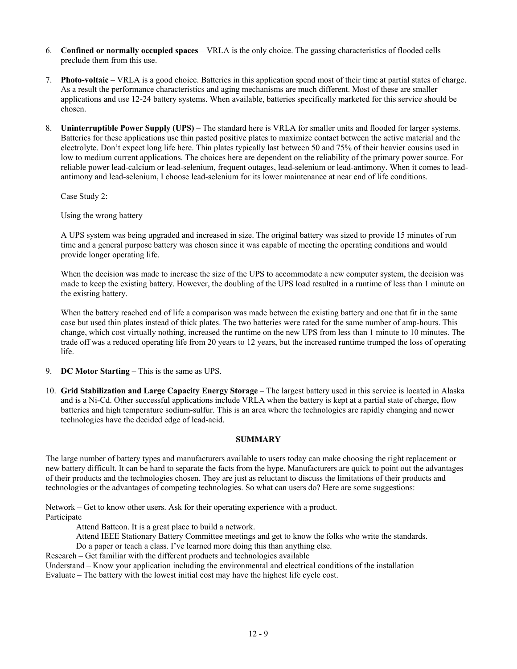- 6. **Confined or normally occupied spaces**  VRLA is the only choice. The gassing characteristics of flooded cells preclude them from this use.
- 7. **Photo-voltaic** VRLA is a good choice. Batteries in this application spend most of their time at partial states of charge. As a result the performance characteristics and aging mechanisms are much different. Most of these are smaller applications and use 12-24 battery systems. When available, batteries specifically marketed for this service should be chosen.
- 8. **Uninterruptible Power Supply (UPS)**  The standard here is VRLA for smaller units and flooded for larger systems. Batteries for these applications use thin pasted positive plates to maximize contact between the active material and the electrolyte. Don't expect long life here. Thin plates typically last between 50 and 75% of their heavier cousins used in low to medium current applications. The choices here are dependent on the reliability of the primary power source. For reliable power lead-calcium or lead-selenium, frequent outages, lead-selenium or lead-antimony. When it comes to leadantimony and lead-selenium, I choose lead-selenium for its lower maintenance at near end of life conditions.

Case Study 2:

Using the wrong battery

A UPS system was being upgraded and increased in size. The original battery was sized to provide 15 minutes of run time and a general purpose battery was chosen since it was capable of meeting the operating conditions and would provide longer operating life.

When the decision was made to increase the size of the UPS to accommodate a new computer system, the decision was made to keep the existing battery. However, the doubling of the UPS load resulted in a runtime of less than 1 minute on the existing battery.

When the battery reached end of life a comparison was made between the existing battery and one that fit in the same case but used thin plates instead of thick plates. The two batteries were rated for the same number of amp-hours. This change, which cost virtually nothing, increased the runtime on the new UPS from less than 1 minute to 10 minutes. The trade off was a reduced operating life from 20 years to 12 years, but the increased runtime trumped the loss of operating life.

- 9. **DC Motor Starting** This is the same as UPS.
- 10. **Grid Stabilization and Large Capacity Energy Storage** The largest battery used in this service is located in Alaska and is a Ni-Cd. Other successful applications include VRLA when the battery is kept at a partial state of charge, flow batteries and high temperature sodium-sulfur. This is an area where the technologies are rapidly changing and newer technologies have the decided edge of lead-acid.

## **SUMMARY**

The large number of battery types and manufacturers available to users today can make choosing the right replacement or new battery difficult. It can be hard to separate the facts from the hype. Manufacturers are quick to point out the advantages of their products and the technologies chosen. They are just as reluctant to discuss the limitations of their products and technologies or the advantages of competing technologies. So what can users do? Here are some suggestions:

Network – Get to know other users. Ask for their operating experience with a product. Participate

Attend Battcon. It is a great place to build a network.

Attend IEEE Stationary Battery Committee meetings and get to know the folks who write the standards.

Do a paper or teach a class. I've learned more doing this than anything else.

Research – Get familiar with the different products and technologies available

Understand – Know your application including the environmental and electrical conditions of the installation Evaluate – The battery with the lowest initial cost may have the highest life cycle cost.